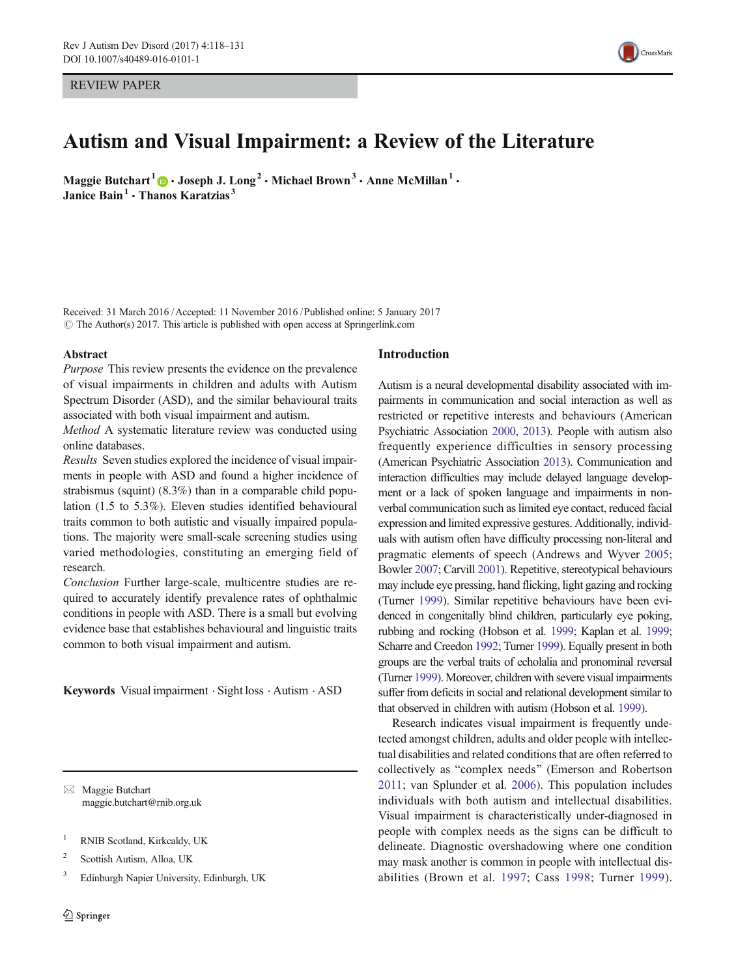REVIEW PAPER



# Autism and Visual Impairment: a Review of the Literature

Maggie Butchart<sup>1</sup>  $\bigcirc \cdot$  Joseph J. Long<sup>2</sup>  $\cdot$  Michael Brown<sup>3</sup>  $\cdot$  Anne McMillan<sup>1</sup>  $\cdot$ Janice Bain<sup>1</sup>  $\cdot$  Thanos Karatzias<sup>3</sup>

Received: 31 March 2016 /Accepted: 11 November 2016 /Published online: 5 January 2017  $\odot$  The Author(s) 2017. This article is published with open access at Springerlink.com

### Abstract

Purpose This review presents the evidence on the prevalence of visual impairments in children and adults with Autism Spectrum Disorder (ASD), and the similar behavioural traits associated with both visual impairment and autism.

Method A systematic literature review was conducted using online databases.

Results Seven studies explored the incidence of visual impairments in people with ASD and found a higher incidence of strabismus (squint) (8.3%) than in a comparable child population (1.5 to 5.3%). Eleven studies identified behavioural traits common to both autistic and visually impaired populations. The majority were small-scale screening studies using varied methodologies, constituting an emerging field of research.

Conclusion Further large-scale, multicentre studies are required to accurately identify prevalence rates of ophthalmic conditions in people with ASD. There is a small but evolving evidence base that establishes behavioural and linguistic traits common to both visual impairment and autism.

Keywords Visual impairment . Sight loss . Autism . ASD

 $\boxtimes$  Maggie Butchart maggie.butchart@rnib.org.uk

- <sup>1</sup> RNIB Scotland, Kirkcaldy, UK
- <sup>2</sup> Scottish Autism, Alloa, UK
- <sup>3</sup> Edinburgh Napier University, Edinburgh, UK

## Introduction

Autism is a neural developmental disability associated with impairments in communication and social interaction as well as restricted or repetitive interests and behaviours (American Psychiatric Association [2000](#page-12-0), [2013](#page-12-0)). People with autism also frequently experience difficulties in sensory processing (American Psychiatric Association [2013\)](#page-12-0). Communication and interaction difficulties may include delayed language development or a lack of spoken language and impairments in nonverbal communication such as limited eye contact, reduced facial expression and limited expressive gestures. Additionally, individuals with autism often have difficulty processing non-literal and pragmatic elements of speech (Andrews and Wyver [2005;](#page-12-0) Bowler [2007;](#page-12-0) Carvill [2001](#page-12-0)). Repetitive, stereotypical behaviours may include eye pressing, hand flicking, light gazing and rocking (Turner [1999](#page-13-0)). Similar repetitive behaviours have been evidenced in congenitally blind children, particularly eye poking, rubbing and rocking (Hobson et al. [1999](#page-12-0); Kaplan et al. [1999;](#page-12-0) Scharre and Creedon [1992](#page-13-0); Turner [1999\)](#page-13-0). Equally present in both groups are the verbal traits of echolalia and pronominal reversal (Turner [1999\)](#page-13-0). Moreover, children with severe visual impairments suffer from deficits in social and relational development similar to that observed in children with autism (Hobson et al. [1999\)](#page-12-0).

Research indicates visual impairment is frequently undetected amongst children, adults and older people with intellectual disabilities and related conditions that are often referred to collectively as "complex needs" (Emerson and Robertson [2011;](#page-12-0) van Splunder et al. [2006](#page-13-0)). This population includes individuals with both autism and intellectual disabilities. Visual impairment is characteristically under-diagnosed in people with complex needs as the signs can be difficult to delineate. Diagnostic overshadowing where one condition may mask another is common in people with intellectual disabilities (Brown et al. [1997](#page-12-0); Cass [1998](#page-12-0); Turner [1999](#page-13-0)).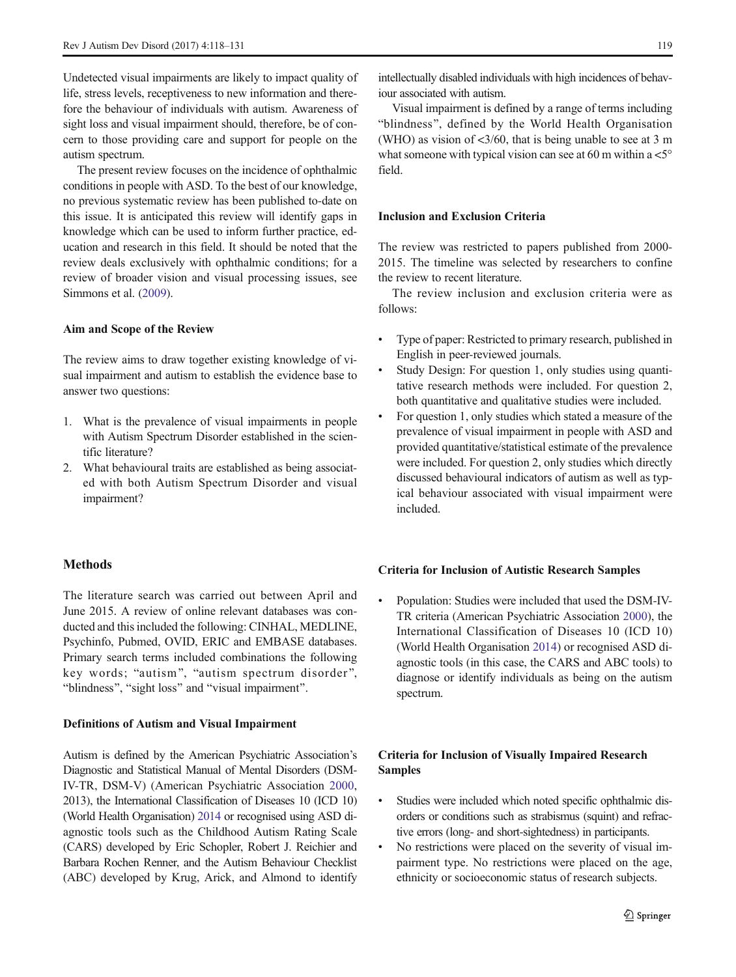Undetected visual impairments are likely to impact quality of life, stress levels, receptiveness to new information and therefore the behaviour of individuals with autism. Awareness of sight loss and visual impairment should, therefore, be of concern to those providing care and support for people on the autism spectrum.

The present review focuses on the incidence of ophthalmic conditions in people with ASD. To the best of our knowledge, no previous systematic review has been published to-date on this issue. It is anticipated this review will identify gaps in knowledge which can be used to inform further practice, education and research in this field. It should be noted that the review deals exclusively with ophthalmic conditions; for a review of broader vision and visual processing issues, see Simmons et al. [\(2009\)](#page-13-0).

## Aim and Scope of the Review

The review aims to draw together existing knowledge of visual impairment and autism to establish the evidence base to answer two questions:

- 1. What is the prevalence of visual impairments in people with Autism Spectrum Disorder established in the scientific literature?
- 2. What behavioural traits are established as being associated with both Autism Spectrum Disorder and visual impairment?

# Methods

The literature search was carried out between April and June 2015. A review of online relevant databases was conducted and this included the following: CINHAL, MEDLINE, Psychinfo, Pubmed, OVID, ERIC and EMBASE databases. Primary search terms included combinations the following key words; "autism", "autism spectrum disorder", "blindness", "sight loss" and "visual impairment".

## Definitions of Autism and Visual Impairment

Autism is defined by the American Psychiatric Association's Diagnostic and Statistical Manual of Mental Disorders (DSM-IV-TR, DSM-V) (American Psychiatric Association [2000,](#page-12-0) 2013), the International Classification of Diseases 10 (ICD 10) (World Health Organisation) [2014](#page-13-0) or recognised using ASD diagnostic tools such as the Childhood Autism Rating Scale (CARS) developed by Eric Schopler, Robert J. Reichier and Barbara Rochen Renner, and the Autism Behaviour Checklist (ABC) developed by Krug, Arick, and Almond to identify

intellectually disabled individuals with high incidences of behaviour associated with autism.

Visual impairment is defined by a range of terms including "blindness", defined by the World Health Organisation (WHO) as vision of  $\langle 3/60$ , that is being unable to see at 3 m what someone with typical vision can see at 60 m within a  $\lt 5^\circ$ field.

## Inclusion and Exclusion Criteria

The review was restricted to papers published from 2000- 2015. The timeline was selected by researchers to confine the review to recent literature.

The review inclusion and exclusion criteria were as follows:

- Type of paper: Restricted to primary research, published in English in peer-reviewed journals.
- Study Design: For question 1, only studies using quantitative research methods were included. For question 2, both quantitative and qualitative studies were included.
- & For question 1, only studies which stated a measure of the prevalence of visual impairment in people with ASD and provided quantitative/statistical estimate of the prevalence were included. For question 2, only studies which directly discussed behavioural indicators of autism as well as typical behaviour associated with visual impairment were included.

#### Criteria for Inclusion of Autistic Research Samples

Population: Studies were included that used the DSM-IV-TR criteria (American Psychiatric Association [2000\)](#page-12-0), the International Classification of Diseases 10 (ICD 10) (World Health Organisation [2014\)](#page-13-0) or recognised ASD diagnostic tools (in this case, the CARS and ABC tools) to diagnose or identify individuals as being on the autism spectrum.

# Criteria for Inclusion of Visually Impaired Research Samples

- Studies were included which noted specific ophthalmic disorders or conditions such as strabismus (squint) and refractive errors (long- and short-sightedness) in participants.
- & No restrictions were placed on the severity of visual impairment type. No restrictions were placed on the age, ethnicity or socioeconomic status of research subjects.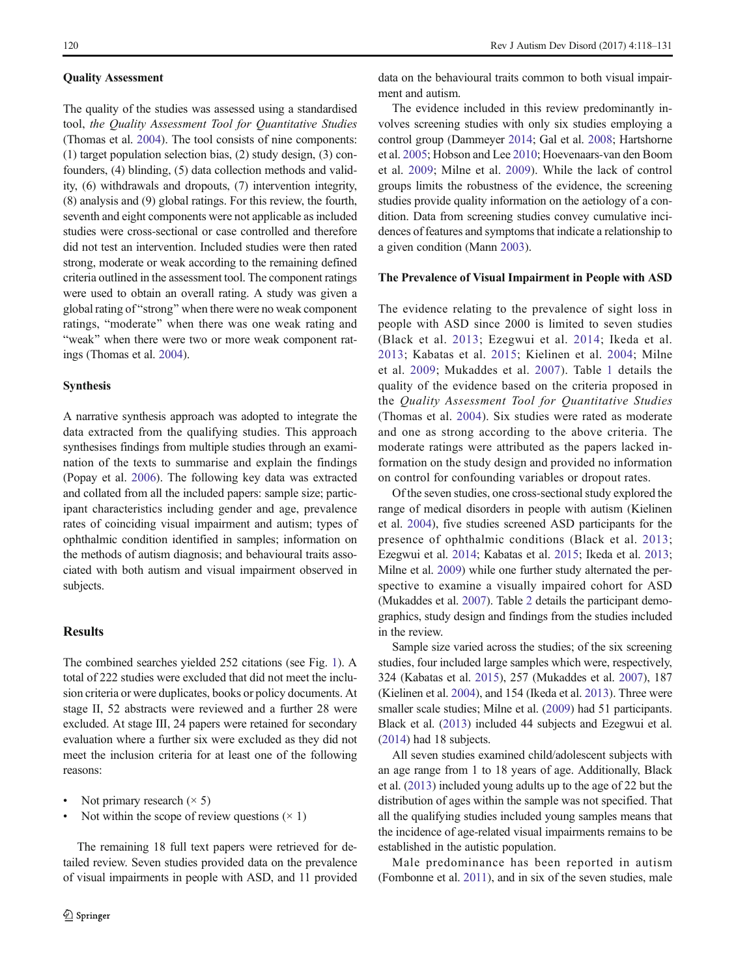## Quality Assessment

The quality of the studies was assessed using a standardised tool, the Quality Assessment Tool for Quantitative Studies (Thomas et al. [2004](#page-13-0)). The tool consists of nine components: (1) target population selection bias, (2) study design, (3) confounders, (4) blinding, (5) data collection methods and validity, (6) withdrawals and dropouts, (7) intervention integrity, (8) analysis and (9) global ratings. For this review, the fourth, seventh and eight components were not applicable as included studies were cross-sectional or case controlled and therefore did not test an intervention. Included studies were then rated strong, moderate or weak according to the remaining defined criteria outlined in the assessment tool. The component ratings were used to obtain an overall rating. A study was given a global rating of "strong" when there were no weak component ratings, "moderate" when there was one weak rating and "weak" when there were two or more weak component ratings (Thomas et al. [2004](#page-13-0)).

### Synthesis

A narrative synthesis approach was adopted to integrate the data extracted from the qualifying studies. This approach synthesises findings from multiple studies through an examination of the texts to summarise and explain the findings (Popay et al. [2006](#page-13-0)). The following key data was extracted and collated from all the included papers: sample size; participant characteristics including gender and age, prevalence rates of coinciding visual impairment and autism; types of ophthalmic condition identified in samples; information on the methods of autism diagnosis; and behavioural traits associated with both autism and visual impairment observed in subjects.

# Results

The combined searches yielded 252 citations (see Fig. [1](#page-3-0)). A total of 222 studies were excluded that did not meet the inclusion criteria or were duplicates, books or policy documents. At stage II, 52 abstracts were reviewed and a further 28 were excluded. At stage III, 24 papers were retained for secondary evaluation where a further six were excluded as they did not meet the inclusion criteria for at least one of the following reasons:

- Not primary research  $(\times 5)$
- Not within the scope of review questions  $(\times 1)$

The remaining 18 full text papers were retrieved for detailed review. Seven studies provided data on the prevalence of visual impairments in people with ASD, and 11 provided

data on the behavioural traits common to both visual impairment and autism.

The evidence included in this review predominantly involves screening studies with only six studies employing a control group (Dammeyer [2014](#page-12-0); Gal et al. [2008;](#page-12-0) Hartshorne et al. [2005;](#page-12-0) Hobson and Lee [2010;](#page-12-0) Hoevenaars-van den Boom et al. [2009;](#page-12-0) Milne et al. [2009\)](#page-13-0). While the lack of control groups limits the robustness of the evidence, the screening studies provide quality information on the aetiology of a condition. Data from screening studies convey cumulative incidences of features and symptoms that indicate a relationship to a given condition (Mann [2003\)](#page-13-0).

# The Prevalence of Visual Impairment in People with ASD

The evidence relating to the prevalence of sight loss in people with ASD since 2000 is limited to seven studies (Black et al. [2013;](#page-12-0) Ezegwui et al. [2014](#page-12-0); Ikeda et al. [2013](#page-12-0); Kabatas et al. [2015;](#page-12-0) Kielinen et al. [2004;](#page-12-0) Milne et al. [2009;](#page-13-0) Mukaddes et al. [2007\)](#page-13-0). Table [1](#page-4-0) details the quality of the evidence based on the criteria proposed in the Quality Assessment Tool for Quantitative Studies (Thomas et al. [2004](#page-13-0)). Six studies were rated as moderate and one as strong according to the above criteria. The moderate ratings were attributed as the papers lacked information on the study design and provided no information on control for confounding variables or dropout rates.

Of the seven studies, one cross-sectional study explored the range of medical disorders in people with autism (Kielinen et al. [2004](#page-12-0)), five studies screened ASD participants for the presence of ophthalmic conditions (Black et al. [2013;](#page-12-0) Ezegwui et al. [2014;](#page-12-0) Kabatas et al. [2015;](#page-12-0) Ikeda et al. [2013;](#page-12-0) Milne et al. [2009\)](#page-13-0) while one further study alternated the perspective to examine a visually impaired cohort for ASD (Mukaddes et al. [2007\)](#page-13-0). Table [2](#page-5-0) details the participant demographics, study design and findings from the studies included in the review.

Sample size varied across the studies; of the six screening studies, four included large samples which were, respectively, 324 (Kabatas et al. [2015](#page-12-0)), 257 (Mukaddes et al. [2007\)](#page-13-0), 187 (Kielinen et al. [2004\)](#page-12-0), and 154 (Ikeda et al. [2013\)](#page-12-0). Three were smaller scale studies; Milne et al. [\(2009\)](#page-13-0) had 51 participants. Black et al. ([2013](#page-12-0)) included 44 subjects and Ezegwui et al. [\(2014\)](#page-12-0) had 18 subjects.

All seven studies examined child/adolescent subjects with an age range from 1 to 18 years of age. Additionally, Black et al. [\(2013\)](#page-12-0) included young adults up to the age of 22 but the distribution of ages within the sample was not specified. That all the qualifying studies included young samples means that the incidence of age-related visual impairments remains to be established in the autistic population.

Male predominance has been reported in autism (Fombonne et al. [2011](#page-12-0)), and in six of the seven studies, male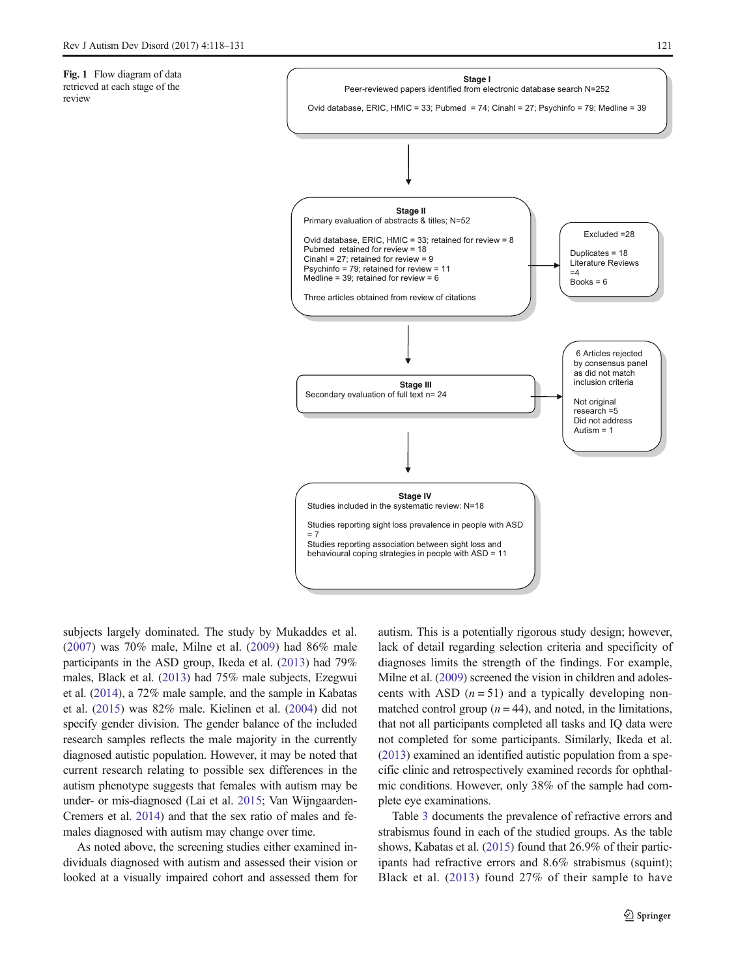<span id="page-3-0"></span>

subjects largely dominated. The study by Mukaddes et al. [\(2007](#page-13-0)) was 70% male, Milne et al. ([2009\)](#page-13-0) had 86% male participants in the ASD group, Ikeda et al. ([2013](#page-12-0)) had 79% males, Black et al. [\(2013\)](#page-12-0) had 75% male subjects, Ezegwui et al. [\(2014\)](#page-12-0), a 72% male sample, and the sample in Kabatas et al. ([2015\)](#page-12-0) was 82% male. Kielinen et al. ([2004\)](#page-12-0) did not specify gender division. The gender balance of the included research samples reflects the male majority in the currently diagnosed autistic population. However, it may be noted that current research relating to possible sex differences in the autism phenotype suggests that females with autism may be under- or mis-diagnosed (Lai et al. [2015;](#page-13-0) Van Wijngaarden-Cremers et al. [2014\)](#page-13-0) and that the sex ratio of males and females diagnosed with autism may change over time.

As noted above, the screening studies either examined individuals diagnosed with autism and assessed their vision or looked at a visually impaired cohort and assessed them for autism. This is a potentially rigorous study design; however, lack of detail regarding selection criteria and specificity of diagnoses limits the strength of the findings. For example, Milne et al. [\(2009\)](#page-13-0) screened the vision in children and adolescents with ASD  $(n = 51)$  and a typically developing nonmatched control group  $(n = 44)$ , and noted, in the limitations, that not all participants completed all tasks and IQ data were not completed for some participants. Similarly, Ikeda et al. [\(2013\)](#page-12-0) examined an identified autistic population from a specific clinic and retrospectively examined records for ophthalmic conditions. However, only 38% of the sample had complete eye examinations.

Table [3](#page-7-0) documents the prevalence of refractive errors and strabismus found in each of the studied groups. As the table shows, Kabatas et al. ([2015](#page-12-0)) found that 26.9% of their participants had refractive errors and 8.6% strabismus (squint); Black et al. ([2013\)](#page-12-0) found 27% of their sample to have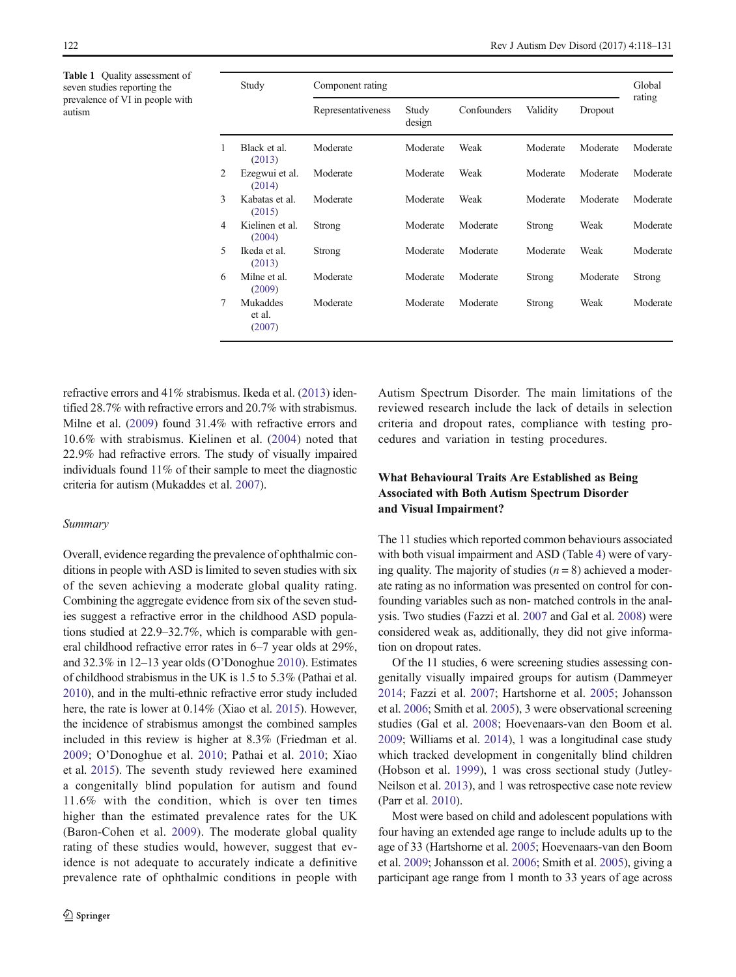<span id="page-4-0"></span>Table 1 Ouality assessment of seven studies reporting the prevalence of VI in people with autism

|   | Study                        | Component rating   |                 |             |          |          | Global   |
|---|------------------------------|--------------------|-----------------|-------------|----------|----------|----------|
|   |                              | Representativeness | Study<br>design | Confounders | Validity | Dropout  | rating   |
| 1 | Black et al.<br>(2013)       | Moderate           | Moderate        | Weak        | Moderate | Moderate | Moderate |
| 2 | Ezegwui et al.<br>(2014)     | Moderate           | Moderate        | Weak        | Moderate | Moderate | Moderate |
| 3 | Kabatas et al.<br>(2015)     | Moderate           | Moderate        | Weak        | Moderate | Moderate | Moderate |
| 4 | Kielinen et al.<br>(2004)    | Strong             | Moderate        | Moderate    | Strong   | Weak     | Moderate |
| 5 | Ikeda et al.<br>(2013)       | Strong             | Moderate        | Moderate    | Moderate | Weak     | Moderate |
| 6 | Milne et al.<br>(2009)       | Moderate           | Moderate        | Moderate    | Strong   | Moderate | Strong   |
| 7 | Mukaddes<br>et al.<br>(2007) | Moderate           | Moderate        | Moderate    | Strong   | Weak     | Moderate |

refractive errors and 41% strabismus. Ikeda et al. [\(2013\)](#page-12-0) identified 28.7% with refractive errors and 20.7% with strabismus. Milne et al. ([2009\)](#page-13-0) found 31.4% with refractive errors and 10.6% with strabismus. Kielinen et al. ([2004](#page-12-0)) noted that 22.9% had refractive errors. The study of visually impaired individuals found 11% of their sample to meet the diagnostic criteria for autism (Mukaddes et al. [2007](#page-13-0)).

## Summary

Overall, evidence regarding the prevalence of ophthalmic conditions in people with ASD is limited to seven studies with six of the seven achieving a moderate global quality rating. Combining the aggregate evidence from six of the seven studies suggest a refractive error in the childhood ASD populations studied at 22.9–32.7%, which is comparable with general childhood refractive error rates in 6–7 year olds at 29%, and 32.3% in 12–13 year olds (O'Donoghue [2010\)](#page-13-0). Estimates of childhood strabismus in the UK is 1.5 to 5.3% (Pathai et al. [2010\)](#page-13-0), and in the multi-ethnic refractive error study included here, the rate is lower at 0.14% (Xiao et al. [2015\)](#page-13-0). However, the incidence of strabismus amongst the combined samples included in this review is higher at 8.3% (Friedman et al. [2009](#page-12-0); O'Donoghue et al. [2010](#page-13-0); Pathai et al. [2010;](#page-13-0) Xiao et al. [2015](#page-13-0)). The seventh study reviewed here examined a congenitally blind population for autism and found 11.6% with the condition, which is over ten times higher than the estimated prevalence rates for the UK (Baron-Cohen et al. [2009](#page-12-0)). The moderate global quality rating of these studies would, however, suggest that evidence is not adequate to accurately indicate a definitive prevalence rate of ophthalmic conditions in people with Autism Spectrum Disorder. The main limitations of the reviewed research include the lack of details in selection criteria and dropout rates, compliance with testing procedures and variation in testing procedures.

# What Behavioural Traits Are Established as Being Associated with Both Autism Spectrum Disorder and Visual Impairment?

The 11 studies which reported common behaviours associated with both visual impairment and ASD (Table [4](#page-8-0)) were of varying quality. The majority of studies  $(n = 8)$  achieved a moderate rating as no information was presented on control for confounding variables such as non- matched controls in the analysis. Two studies (Fazzi et al. [2007](#page-12-0) and Gal et al. [2008\)](#page-12-0) were considered weak as, additionally, they did not give information on dropout rates.

Of the 11 studies, 6 were screening studies assessing congenitally visually impaired groups for autism (Dammeyer [2014;](#page-12-0) Fazzi et al. [2007;](#page-12-0) Hartshorne et al. [2005](#page-12-0); Johansson et al. [2006](#page-12-0); Smith et al. [2005\)](#page-13-0), 3 were observational screening studies (Gal et al. [2008;](#page-12-0) Hoevenaars-van den Boom et al. [2009;](#page-12-0) Williams et al. [2014](#page-13-0)), 1 was a longitudinal case study which tracked development in congenitally blind children (Hobson et al. [1999](#page-12-0)), 1 was cross sectional study (Jutley-Neilson et al. [2013](#page-12-0)), and 1 was retrospective case note review (Parr et al. [2010\)](#page-13-0).

Most were based on child and adolescent populations with four having an extended age range to include adults up to the age of 33 (Hartshorne et al. [2005](#page-12-0); Hoevenaars-van den Boom et al. [2009;](#page-12-0) Johansson et al. [2006](#page-12-0); Smith et al. [2005\)](#page-13-0), giving a participant age range from 1 month to 33 years of age across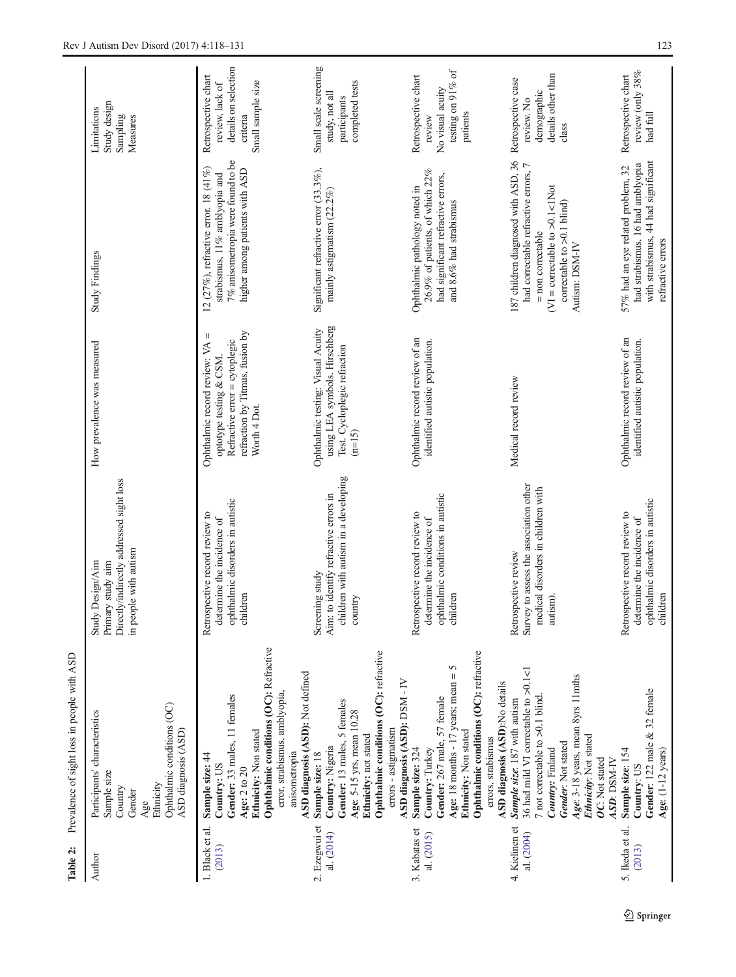<span id="page-5-0"></span>

| Table 2:                     | Prevalence of sight loss in people with ASD                                                                                                                                                                                                         |                                                                                                                  |                                                                                                                                                  |                                                                                                                                                                                          |                                                                                                 |
|------------------------------|-----------------------------------------------------------------------------------------------------------------------------------------------------------------------------------------------------------------------------------------------------|------------------------------------------------------------------------------------------------------------------|--------------------------------------------------------------------------------------------------------------------------------------------------|------------------------------------------------------------------------------------------------------------------------------------------------------------------------------------------|-------------------------------------------------------------------------------------------------|
| Author                       | Ophthalmic conditions (OC)<br>Participants' characteristics<br>ASD diagnosis (ASD)<br>Sample size<br>Ethnicity<br>Country<br>Gender<br>Age                                                                                                          | Directly/indirectly addressed sight loss<br>in people with autism<br>Study Design/Aim<br>Primary study aim       | How prevalence was measured                                                                                                                      | <b>Study Findings</b>                                                                                                                                                                    | Study design<br>Limitations<br>Sampling<br>Measures                                             |
| 1. Black et al.<br>(2013)    | Ophthalmic conditions (OC): Refractive<br>ASD diagnosis (ASD): Not defined<br>error, strabismus, amblyopia,<br>Gender: 33 males, 11 females<br>Ethnicity: Non stated<br>anisometropia<br>Sample size: 44<br>Country: US<br>Age: 2 to 20             | ophthalmic disorders in autistic<br>Retrospective record review to<br>determine the incidence of<br>children     | refraction by Titmus, fusion by<br>Ш<br>Refractive error = cytoplegic<br>Ophthalmic record review: VA<br>optotype testing & CSM.<br>Worth 4 Dot. | 7% anisometropia were found to be<br>12 (27%), refractive error. 18 (41%)<br>higher among patients with ASD<br>strabismus, 11% amblyopia and                                             | details on selection<br>Retrospective chart<br>Small sample size<br>review, lack of<br>criteria |
| 2. Ezegwui et<br>al. (2014)  | Ophthalmic conditions (OC): refractive<br>ASD diagnosis (ASD): DSM - IV<br>Gender: 13 males, 5 females<br>Age: 5-15 yrs, mean 10.28<br>errors - astigmatism<br>Ethnicity: not stated<br>Country: Nigeria<br>Sample size: 18                         | children with autism in a developing<br>Aim: to identify refractive errors in<br>Screening study<br>country      | using LEA symbols. Hirschberg<br>Ophthalmic testing: Visual Acuity<br>Test. Cycloplegic refraction<br>$(n=15)$                                   | Significant refractive error (33.3%),<br>mainly astigmatism (22.2%)                                                                                                                      | Small scale screening<br>completed tests<br>study, not all<br>participants                      |
| 3. Kabatas et<br>al. (2015)  | Ophthalmic conditions (OC): refractive<br>Age: 18 months - 17 years; mean = 5<br>ASD diagnosis (ASD):No details<br>Gender: 267 male, 57 female<br>Ethnicity: Non stated<br>errors, strabismus<br>Sample size: 324<br>Country: Turkey                | ophthalmic conditions in autistic<br>children<br>Retrospective record review to<br>determine the incidence of    | Ophthalmic record review of an<br>identified autistic population.                                                                                | 26.9% of patients, of which 22%<br>had significant refractive errors,<br>Ophthalmic pathology noted in<br>and 8.6% had strabismus                                                        | testing on 91% of<br>Retrospective chart<br>No visual acuity<br>patients<br>review              |
| 4. Kielinen et<br>al. (2004) | 36 had mild VI correctable to >0.1<1<br>Age: 3-18 years, mean 8yrs 11mths<br>7 not correctable to $>0.1$ blind.<br>Sample size: 187 with autism<br>Ethnicity: Not stated<br>Gender: Not stated<br>Country: Finland<br>OC: Not stated<br>ASD: DSM-IV | Survey to assess the association other<br>medical disorders in children with<br>Retrospective review<br>autism). | Medical record review                                                                                                                            | 187 children diagnosed with ASD, 36<br>had correctable refractive errors, 7<br>$VI =$ correctable to $>0.1$ <1Not<br>correctable to $>0.1$ blind)<br>= non correctable<br>Autism: DSM-IV | details other than<br>Retrospective case<br>demographic<br>review. No<br>class                  |
| 5. Ikeda et al.<br>(2013)    | Gender: 122 male & 32 female<br>Sample size: 154<br>Age: (1-12 years)<br>Country: US                                                                                                                                                                | ophthalmic disorders in autistic<br>Retrospective record review to<br>determine the incidence of<br>children     | Ophthalmic record review of an<br>identified autistic population.                                                                                | with strabismus, 44 had significant<br>had strabismus, 16 had amblyopia<br>57% had an eye related problem, 32<br>refractive errors                                                       | review (only $38\%$<br>Retrospective chart<br>had full                                          |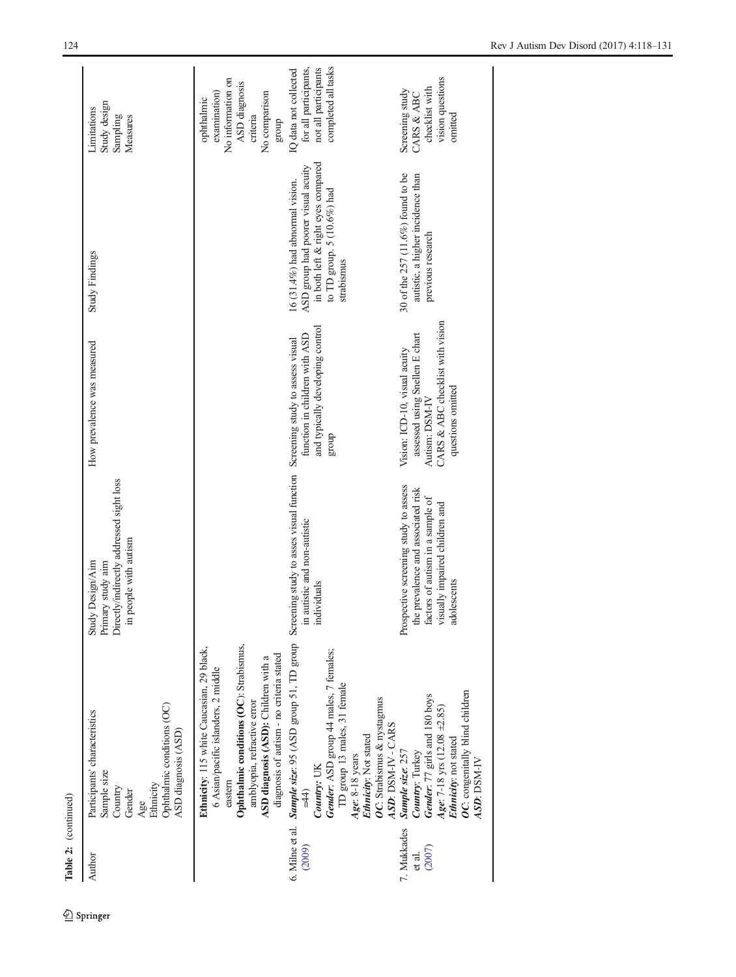| Table 2: (continued)            |                                                                                                                                                                                                                                                                                                                            |                                                                                                                                                                  |                                                                                                                                            |                                                                                                                                                            |                                                                                                         |
|---------------------------------|----------------------------------------------------------------------------------------------------------------------------------------------------------------------------------------------------------------------------------------------------------------------------------------------------------------------------|------------------------------------------------------------------------------------------------------------------------------------------------------------------|--------------------------------------------------------------------------------------------------------------------------------------------|------------------------------------------------------------------------------------------------------------------------------------------------------------|---------------------------------------------------------------------------------------------------------|
| Author                          | Ophthalmic conditions (OC)<br>Participants' characteristics<br>ASD diagnosis (ASD)<br>Sample size<br>Ethnicity<br>Country<br>Gender<br>Age                                                                                                                                                                                 | Directly/indirectly addressed sight loss<br>in people with autism<br>Study Design/Aim<br>Primary study aim                                                       | How prevalence was measured                                                                                                                | <b>Study Findings</b>                                                                                                                                      | Study design<br>Limitations<br>Sampling<br>Measures                                                     |
|                                 | Ophthalmic conditions (OC): Strabismus,<br>Ethnicity: 115 white Caucasian, 29 black,<br>diagnosis of autism - no criteria stated<br>ASD diagnosis (ASD): Children with a<br>6 Asian/pacific islanders, 2 middle<br>amblyopia, refractive error<br>eastern                                                                  |                                                                                                                                                                  |                                                                                                                                            |                                                                                                                                                            | No information on<br>ASD diagnosis<br>No comparison<br>examination)<br>ophthalmic<br>criteria<br>dno.fa |
| 6. Milne et al.<br>(2009)       | <b>Sample size:</b> 95 (ASD group 51, TD group Screening study to asses visual function Screening study to assess visual<br>Gender: ASD group 44 males, 7 females;<br>TD group 13 males, 31 female<br>OC: Strabismus & nystagmus<br>ASD: DSM-IV - CARS<br>Ethnicity: Not stated<br>Age: 8-18 years<br>Country: UK<br>$=44$ | in autistic and non-autistic<br>individuals                                                                                                                      | and typically developing control<br>function in children with ASD<br>dno.fa                                                                | in both left & right eyes compared<br>ASD group had poorer visual acuity<br>16 $(31.4\%)$ had abnormal vision.<br>to TD group. 5 (10.6%) had<br>strabismus | for all participants,<br>completed all tasks<br>not all participants<br>IQ data not collected           |
| 7. Mukkades<br>(2007)<br>et al. | OC: congenitally blind children<br>Gender: 77 girls and 180 boys<br>Age: 7-18 yrs (12.08 $\pm$ 2.85)<br>Ethnicity: not stated<br>Country: Turkey<br>Sample size: 257<br><b>ASD: DSM-IV</b>                                                                                                                                 | Prospective screening study to assess<br>the prevalence and associated risk<br>factors of autism in a sample of<br>visually impaired children and<br>adolescents | CARS & ABC checklist with vision<br>assessed using Snellen E chart<br>Vision: ICD-10, visual acuity<br>questions omitted<br>Autism: DSM-IV | 30 of the 257 (11.6%) found to be<br>autistic, a higher incidence than<br>previous research                                                                | vision questions<br>checklist with<br>Screening study<br>CARS & ABC<br>omitted                          |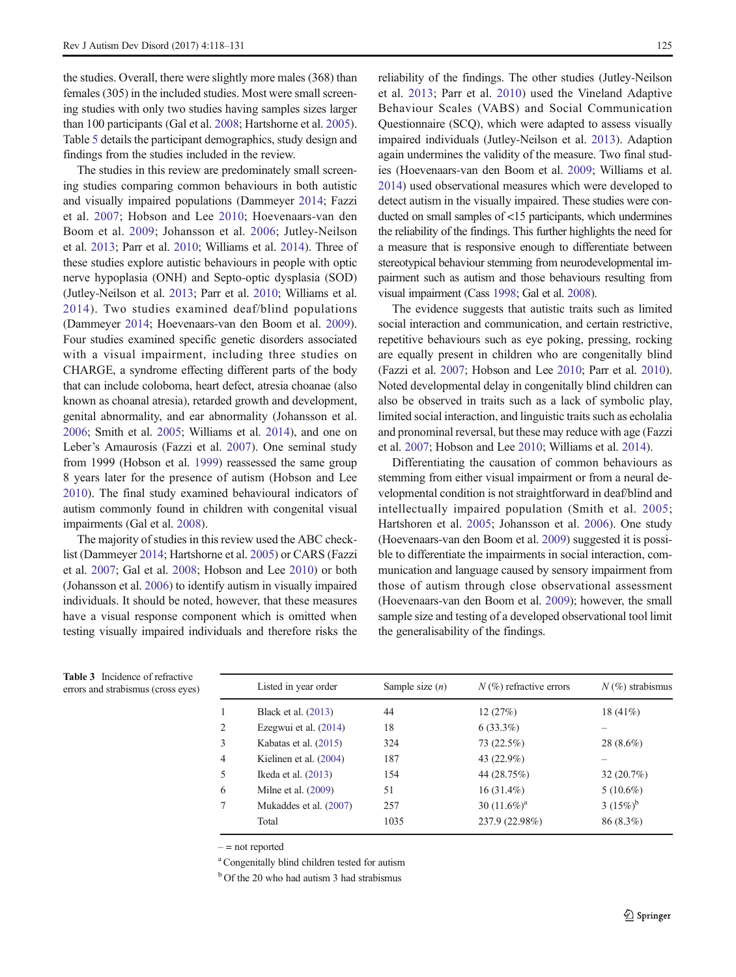<span id="page-7-0"></span>the studies. Overall, there were slightly more males (368) than females (305) in the included studies. Most were small screening studies with only two studies having samples sizes larger than 100 participants (Gal et al. [2008](#page-12-0); Hartshorne et al. [2005\)](#page-12-0). Table [5](#page-9-0) details the participant demographics, study design and findings from the studies included in the review.

The studies in this review are predominately small screening studies comparing common behaviours in both autistic and visually impaired populations (Dammeyer [2014;](#page-12-0) Fazzi et al. [2007;](#page-12-0) Hobson and Lee [2010;](#page-12-0) Hoevenaars-van den Boom et al. [2009](#page-12-0); Johansson et al. [2006](#page-12-0); Jutley-Neilson et al. [2013](#page-12-0); Parr et al. [2010](#page-13-0); Williams et al. [2014\)](#page-13-0). Three of these studies explore autistic behaviours in people with optic nerve hypoplasia (ONH) and Septo-optic dysplasia (SOD) (Jutley-Neilson et al. [2013;](#page-12-0) Parr et al. [2010;](#page-13-0) Williams et al. [2014\)](#page-13-0). Two studies examined deaf/blind populations (Dammeyer [2014;](#page-12-0) Hoevenaars-van den Boom et al. [2009](#page-12-0)). Four studies examined specific genetic disorders associated with a visual impairment, including three studies on CHARGE, a syndrome effecting different parts of the body that can include coloboma, heart defect, atresia choanae (also known as choanal atresia), retarded growth and development, genital abnormality, and ear abnormality (Johansson et al. [2006;](#page-12-0) Smith et al. [2005;](#page-13-0) Williams et al. [2014\)](#page-13-0), and one on Leber's Amaurosis (Fazzi et al. [2007](#page-12-0)). One seminal study from 1999 (Hobson et al. [1999\)](#page-12-0) reassessed the same group 8 years later for the presence of autism (Hobson and Lee [2010\)](#page-12-0). The final study examined behavioural indicators of autism commonly found in children with congenital visual impairments (Gal et al. [2008\)](#page-12-0).

The majority of studies in this review used the ABC checklist (Dammeyer [2014;](#page-12-0) Hartshorne et al. [2005](#page-12-0)) or CARS (Fazzi et al. [2007](#page-12-0); Gal et al. [2008](#page-12-0); Hobson and Lee [2010\)](#page-12-0) or both (Johansson et al. [2006\)](#page-12-0) to identify autism in visually impaired individuals. It should be noted, however, that these measures have a visual response component which is omitted when testing visually impaired individuals and therefore risks the reliability of the findings. The other studies (Jutley-Neilson et al. [2013;](#page-12-0) Parr et al. [2010](#page-13-0)) used the Vineland Adaptive Behaviour Scales (VABS) and Social Communication Questionnaire (SCQ), which were adapted to assess visually impaired individuals (Jutley-Neilson et al. [2013](#page-12-0)). Adaption again undermines the validity of the measure. Two final studies (Hoevenaars-van den Boom et al. [2009](#page-12-0); Williams et al. [2014\)](#page-13-0) used observational measures which were developed to detect autism in the visually impaired. These studies were conducted on small samples of <15 participants, which undermines the reliability of the findings. This further highlights the need for a measure that is responsive enough to differentiate between stereotypical behaviour stemming from neurodevelopmental impairment such as autism and those behaviours resulting from visual impairment (Cass [1998;](#page-12-0) Gal et al. [2008](#page-12-0)).

The evidence suggests that autistic traits such as limited social interaction and communication, and certain restrictive, repetitive behaviours such as eye poking, pressing, rocking are equally present in children who are congenitally blind (Fazzi et al. [2007](#page-12-0); Hobson and Lee [2010;](#page-12-0) Parr et al. [2010\)](#page-13-0). Noted developmental delay in congenitally blind children can also be observed in traits such as a lack of symbolic play, limited social interaction, and linguistic traits such as echolalia and pronominal reversal, but these may reduce with age (Fazzi et al. [2007](#page-12-0); Hobson and Lee [2010](#page-12-0); Williams et al. [2014](#page-13-0)).

Differentiating the causation of common behaviours as stemming from either visual impairment or from a neural developmental condition is not straightforward in deaf/blind and intellectually impaired population (Smith et al. [2005;](#page-13-0) Hartshoren et al. [2005;](#page-12-0) Johansson et al. [2006\)](#page-12-0). One study (Hoevenaars-van den Boom et al. [2009](#page-12-0)) suggested it is possible to differentiate the impairments in social interaction, communication and language caused by sensory impairment from those of autism through close observational assessment (Hoevenaars-van den Boom et al. [2009](#page-12-0)); however, the small sample size and testing of a developed observational tool limit the generalisability of the findings.

| <b>Table 5</b> Incluence of refractive<br>errors and strabismus (cross eyes) |   | Listed in year order     | Sample size $(n)$ | $N(\%)$ refractive errors | $N(\%)$ strabismus |
|------------------------------------------------------------------------------|---|--------------------------|-------------------|---------------------------|--------------------|
|                                                                              |   | Black et al. (2013)      | 44                | 12(27%)                   | $18(41\%)$         |
|                                                                              | 2 | Ezegwui et al. $(2014)$  | 18                | $6(33.3\%)$               |                    |
|                                                                              | 3 | Kabatas et al. (2015)    | 324               | 73 (22.5%)                | $28(8.6\%)$        |
|                                                                              | 4 | Kielinen et al. $(2004)$ | 187               | 43 $(22.9\%)$             |                    |
|                                                                              | 5 | Ikeda et al. $(2013)$    | 154               | 44 (28.75%)               | 32(20.7%)          |
|                                                                              | 6 | Milne et al. $(2009)$    | 51                | $16(31.4\%)$              | $5(10.6\%)$        |
|                                                                              |   | Mukaddes et al. (2007)   | 257               | 30 $(11.6\%)^a$           | 3 $(15\%)^b$       |
|                                                                              |   | Total                    | 1035              | 237.9 (22.98%)            | 86 (8.3%)          |
|                                                                              |   |                          |                   |                           |                    |

| <b>Table 3</b> Incidence of refractive |
|----------------------------------------|
| errors and strabismus (cross eye       |

 $-$  = not reported

<sup>a</sup> Congenitally blind children tested for autism

<sup>b</sup> Of the 20 who had autism 3 had strabismus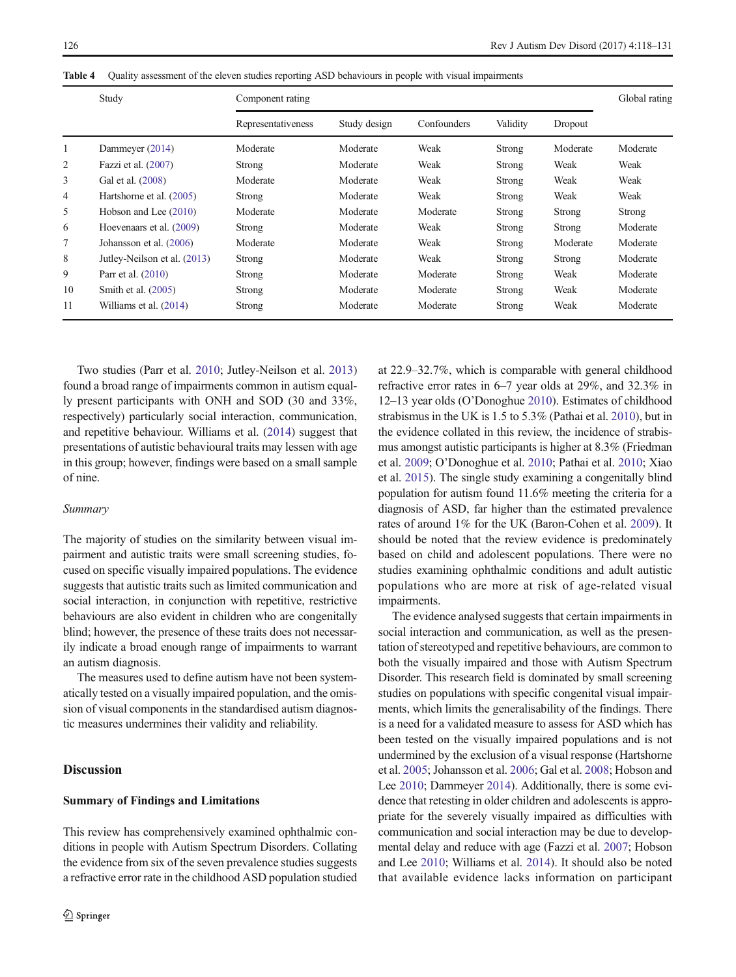|    | Study                        | Component rating   |              |             |          |          | Global rating |
|----|------------------------------|--------------------|--------------|-------------|----------|----------|---------------|
|    |                              | Representativeness | Study design | Confounders | Validity | Dropout  |               |
| 1  | Dammeyer (2014)              | Moderate           | Moderate     | Weak        | Strong   | Moderate | Moderate      |
| 2  | Fazzi et al. $(2007)$        | Strong             | Moderate     | Weak        | Strong   | Weak     | Weak          |
| 3  | Gal et al. (2008)            | Moderate           | Moderate     | Weak        | Strong   | Weak     | Weak          |
| 4  | Hartshorne et al. (2005)     | Strong             | Moderate     | Weak        | Strong   | Weak     | Weak          |
| 5  | Hobson and Lee (2010)        | Moderate           | Moderate     | Moderate    | Strong   | Strong   | Strong        |
| 6  | Hoevenaars et al. (2009)     | Strong             | Moderate     | Weak        | Strong   | Strong   | Moderate      |
| 7  | Johansson et al. (2006)      | Moderate           | Moderate     | Weak        | Strong   | Moderate | Moderate      |
| 8  | Jutley-Neilson et al. (2013) | Strong             | Moderate     | Weak        | Strong   | Strong   | Moderate      |
| 9  | Parr et al. (2010)           | Strong             | Moderate     | Moderate    | Strong   | Weak     | Moderate      |
| 10 | Smith et al. (2005)          | Strong             | Moderate     | Moderate    | Strong   | Weak     | Moderate      |
| 11 | Williams et al. (2014)       | Strong             | Moderate     | Moderate    | Strong   | Weak     | Moderate      |

<span id="page-8-0"></span>Table 4 Quality assessment of the eleven studies reporting ASD behaviours in people with visual impairments

Two studies (Parr et al. [2010;](#page-13-0) Jutley-Neilson et al. [2013\)](#page-12-0) found a broad range of impairments common in autism equally present participants with ONH and SOD (30 and 33%, respectively) particularly social interaction, communication, and repetitive behaviour. Williams et al. [\(2014\)](#page-13-0) suggest that presentations of autistic behavioural traits may lessen with age in this group; however, findings were based on a small sample of nine.

#### Summary

The majority of studies on the similarity between visual impairment and autistic traits were small screening studies, focused on specific visually impaired populations. The evidence suggests that autistic traits such as limited communication and social interaction, in conjunction with repetitive, restrictive behaviours are also evident in children who are congenitally blind; however, the presence of these traits does not necessarily indicate a broad enough range of impairments to warrant an autism diagnosis.

The measures used to define autism have not been systematically tested on a visually impaired population, and the omission of visual components in the standardised autism diagnostic measures undermines their validity and reliability.

# Discussion

## Summary of Findings and Limitations

This review has comprehensively examined ophthalmic conditions in people with Autism Spectrum Disorders. Collating the evidence from six of the seven prevalence studies suggests a refractive error rate in the childhood ASD population studied at 22.9–32.7%, which is comparable with general childhood refractive error rates in 6–7 year olds at 29%, and 32.3% in 12–13 year olds (O'Donoghue [2010\)](#page-13-0). Estimates of childhood strabismus in the UK is 1.5 to 5.3% (Pathai et al. [2010](#page-13-0)), but in the evidence collated in this review, the incidence of strabismus amongst autistic participants is higher at 8.3% (Friedman et al. [2009](#page-12-0); O'Donoghue et al. [2010;](#page-13-0) Pathai et al. [2010](#page-13-0); Xiao et al. [2015](#page-13-0)). The single study examining a congenitally blind population for autism found 11.6% meeting the criteria for a diagnosis of ASD, far higher than the estimated prevalence rates of around 1% for the UK (Baron-Cohen et al. [2009\)](#page-12-0). It should be noted that the review evidence is predominately based on child and adolescent populations. There were no studies examining ophthalmic conditions and adult autistic populations who are more at risk of age-related visual impairments.

The evidence analysed suggests that certain impairments in social interaction and communication, as well as the presentation of stereotyped and repetitive behaviours, are common to both the visually impaired and those with Autism Spectrum Disorder. This research field is dominated by small screening studies on populations with specific congenital visual impairments, which limits the generalisability of the findings. There is a need for a validated measure to assess for ASD which has been tested on the visually impaired populations and is not undermined by the exclusion of a visual response (Hartshorne et al. [2005;](#page-12-0) Johansson et al. [2006;](#page-12-0) Gal et al. [2008;](#page-12-0) Hobson and Lee [2010;](#page-12-0) Dammeyer [2014\)](#page-12-0). Additionally, there is some evidence that retesting in older children and adolescents is appropriate for the severely visually impaired as difficulties with communication and social interaction may be due to developmental delay and reduce with age (Fazzi et al. [2007](#page-12-0); Hobson and Lee [2010](#page-12-0); Williams et al. [2014\)](#page-13-0). It should also be noted that available evidence lacks information on participant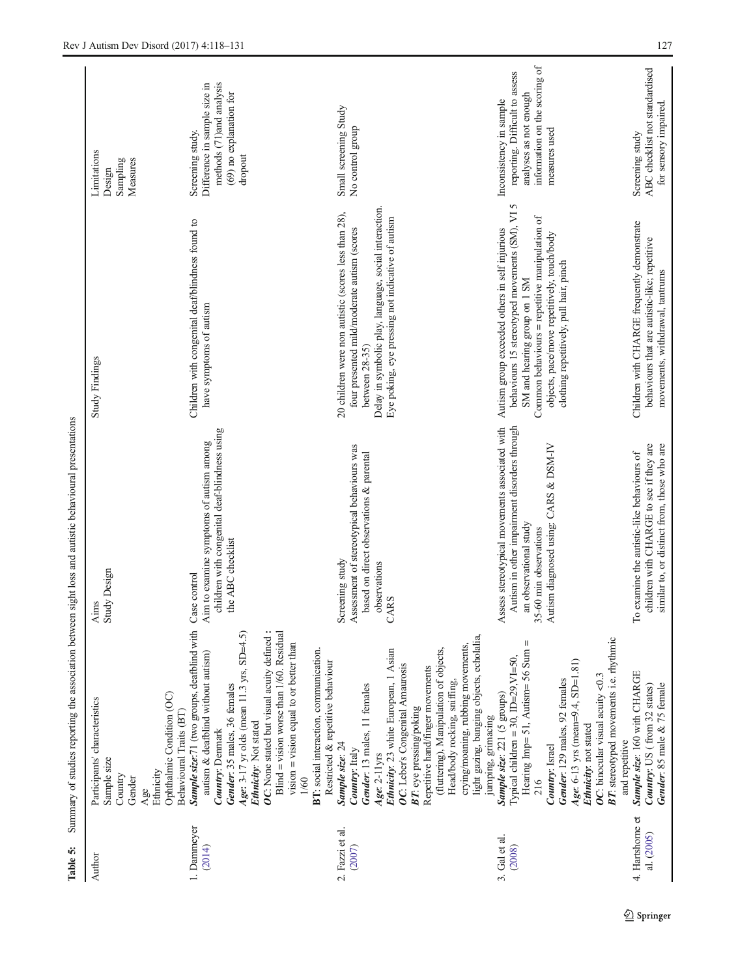<span id="page-9-0"></span>

| Table 5:                                   |                                                                                                                                                                                                                                                                                                                                                                                                                                                                                                              | Summary of studies reporting the association between sight loss and autistic behavioural presentations                                                                             |                                                                                                                                                                                                                                                                                       |                                                                                                                                                                     |
|--------------------------------------------|--------------------------------------------------------------------------------------------------------------------------------------------------------------------------------------------------------------------------------------------------------------------------------------------------------------------------------------------------------------------------------------------------------------------------------------------------------------------------------------------------------------|------------------------------------------------------------------------------------------------------------------------------------------------------------------------------------|---------------------------------------------------------------------------------------------------------------------------------------------------------------------------------------------------------------------------------------------------------------------------------------|---------------------------------------------------------------------------------------------------------------------------------------------------------------------|
| 1. Dammeyer<br>(2014)<br>Author            | Sample size:71 (two groups, deafblind with<br>OC: None stated but visual acuity defined :<br>Blind = vision worse than $1/60$ . Residual<br>Age: 3-17 yr olds (mean 11.3 yrs, SD=4.5)<br>vision = vision equal to or better than<br>autism & deafblind without autism)<br>Gender: 35 males, 36 females<br>Ophthalmic Condition (OC)<br>Participants' characteristics<br>Behavioural Traits (BT)<br>Ethnicity: Not stated<br>Country: Denmark<br>Sample size<br>Ethnicity<br>Country<br>Gender<br>1/60<br>Age | children with congenital deaf-blindness using<br>Aim to examine symptoms of autism among<br>the ABC checklist<br>Aims<br>Study Design<br>Case control                              | Children with congenital deaf/blindness found to<br>have symptoms of autism<br>Study Findings                                                                                                                                                                                         | methods (71)and analysis<br>Difference in sample size in<br>(69) no explanation for<br>Screening study.<br>Limitations<br>dropout<br>Sampling<br>Measures<br>Design |
|                                            | BT: social interaction, communication.<br>Restricted & repetitive behaviour                                                                                                                                                                                                                                                                                                                                                                                                                                  |                                                                                                                                                                                    |                                                                                                                                                                                                                                                                                       |                                                                                                                                                                     |
| 2. Fazzi et al.<br>3. Gal et al.<br>(2007) | light gazing, banging objects, echolalia,<br>crying/moaning, rubbing movements,<br>Ethnicity: 23 white European, 1 Asian<br>(fluttering), Manipulation of objects,<br>OC: Leber's Congenital Amaurosis<br>Repetitive hand/finger movements<br>Head/body rocking, sniffing,<br>Gender: 13 males, 11 females<br>Sample size: 221 (5 groups)<br>BT: eye pressing/poking<br>jumping, grimacing<br>Sample size: 24<br>Country: Italy<br>Age: 2-11yrs                                                              | Assess stereotypical movements associated with<br>Assessment of stereotypical behaviours was<br>based on direct observations & parental<br>Screening study<br>observations<br>CARS | Delay in symbolic play, language, social interaction.<br>20 children were non autistic (scores less than 28),<br>Eye poking, eye pressing not indicative of autism<br>four presented mild/moderate autism (scores<br>Autism group exceeded others in self injurious<br>between 28-35) | Inconsistency in sample<br>Small screening Study<br>No control group                                                                                                |
| (2008)                                     | <b>BT:</b> stereotyped movements i.e. rhythmic<br>Hearing Imp= 51, Autism= 56 Sum =<br>Typical children = 30, $ID=29$ , $VI=50$ ,<br>Age: $6-13$ yrs (mean=9.4, SD=1.81)<br>OC: binocular visual acuity $< 0.3$<br>Gender: 129 males, 92 females<br>Ethnicity: not stated<br>and repetitive<br>Country: Israel<br>216                                                                                                                                                                                        | Autism in other impairment disorders through<br>Autism diagnosed using: CARS & DSM-IV<br>an observational study<br>35-60 min observations                                          | VI <sub>5</sub><br>Common behaviours = repetitive manipulation of<br>behaviours 15 stereotyped movements (SM),<br>objects, pace/move repetitively, touch/body<br>clothing repetitively, pull hair, pinch<br>SM and hearing group on 1 SM                                              | information on the scoring of<br>reporting. Difficult to assess<br>analyses as not enough<br>measures used                                                          |
| 4. Hartshorne et<br>al. (2005)             | Sample size: 160 with CHARGE<br>Gender: 85 male & 75 female<br>Country: US (from 32 states)                                                                                                                                                                                                                                                                                                                                                                                                                  | children with CHARGE to see if they are<br>similar to, or distinct from, those who are<br>To examine the autistic-like behaviours of                                               | Children with CHARGE frequently demonstrate<br>behaviours that are autistic-like; repetitive<br>movements, withdrawal, tantrums                                                                                                                                                       | ABC checklist not standardised<br>for sensory impaired.<br>Screening study                                                                                          |

 $\underline{\textcircled{\tiny 2}}$  Springer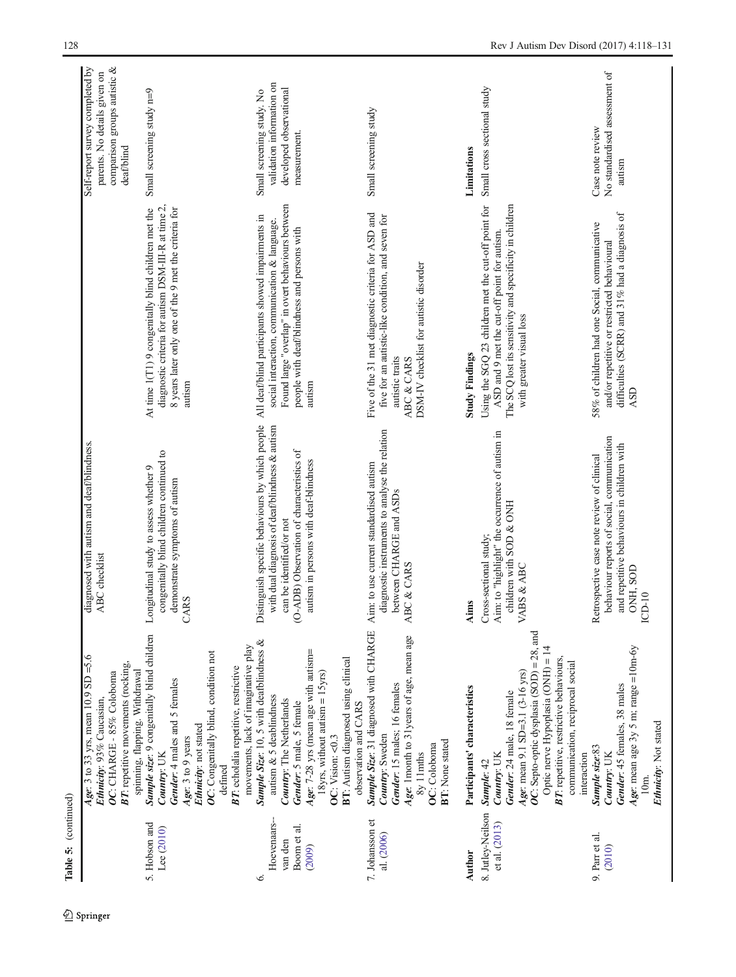| (continued)<br>Table 5:                               |                                                                                                                                                                                                                                                                                                                           |                                                                                                                                                                                                                    |                                                                                                                                                                                                                  |                                                                                                              |
|-------------------------------------------------------|---------------------------------------------------------------------------------------------------------------------------------------------------------------------------------------------------------------------------------------------------------------------------------------------------------------------------|--------------------------------------------------------------------------------------------------------------------------------------------------------------------------------------------------------------------|------------------------------------------------------------------------------------------------------------------------------------------------------------------------------------------------------------------|--------------------------------------------------------------------------------------------------------------|
|                                                       | Age: 3 to 33 yrs, mean 10.9 SD =5.6<br>BT: repetitive movements (rocking,<br>spinning, flapping. Withdrawal<br>OC: CHARGE - 85% Coloboma<br>Ethnicity: 93% Caucasian,                                                                                                                                                     | diagnosed with autism and deaf/blindness<br>ABC checklist                                                                                                                                                          |                                                                                                                                                                                                                  | comparison groups autistic &<br>Self-report survey completed by<br>parents. No details given on<br>deafblind |
| 5. Hobson and<br>Lee (2010)                           | Sample size: 9 congenitally blind children<br>OC: Congenitally blind, condition not<br>Gender: 4 males and 5 females<br>Ethnicity: not stated<br>Age: 3 to 9 years<br>Country: UK                                                                                                                                         | congenitally blind children continued to<br>Longitudinal study to assess whether 9<br>demonstrate symptoms of autism<br><b>ARS</b>                                                                                 | diagnostic criteria for autism DSM-III-R at time 2,<br>8 years later only one of the 9 met the criteria for<br>At time $1(T1)$ 9 congenitally blind children met the<br>autism                                   | Small screening study n=9                                                                                    |
| Hoevenaars-<br>Boom et al.<br>van den<br>(2009)<br>Ġ. | Sample Size: 10, 5 with deafblindness &<br>movements, lack of imaginative play<br>Age: 7-28 yrs (mean age with autism=<br>BT: echolalia repetitive, restrictive<br>$18yrs$ , without autism = $15yrs$ )<br>autism & 5 deablindness<br>Country: The Netherlands<br>Gender: 5 male, 5 female<br>OC: Vision: <0.3<br>defined | Distinguish specific behaviours by which people<br>with dual diagnosis of deafblindness & autism<br>(O-ADB) Observation of characteristics of<br>autism in persons with deaf-blindness<br>can be identified/or not | Found large "overlap" in overt behaviours between<br>All deaf/blind participants showed impairments in<br>social interaction, communication & language.<br>people with deaf/blindness and persons with<br>autism | validation information on<br>developed observational<br>Small screening study. No<br>measurement.            |
| 7. Johansson et<br>al. (2006)                         | Sample Size: 31 diagnosed with CHARGE<br>Age: 1month to 31years of age, mean age<br>BT: Autism diagnosed using clinical<br>Gender: 15 males; 16 females<br>observation and CARS<br>Country: Sweden<br><b>BT:</b> None stated<br>OC: Coloboma<br>8y 11mths                                                                 | diagnostic instruments to analyse the relation<br>Aim: to use current standardised autism<br>between CHARGE and ASDs<br>ABC & CARS                                                                                 | Five of the 31 met diagnostic criteria for ASD and<br>five for an autistic-like condition, and seven for<br>DSM-IV checklist for autistic disorder<br>autistic traits<br>ABC & CARS                              | Small screening study                                                                                        |
| Author                                                | Participants' characteristics                                                                                                                                                                                                                                                                                             | Aims                                                                                                                                                                                                               | <b>Study Findings</b>                                                                                                                                                                                            | Limitations                                                                                                  |
| 8. Jutley-Neilson<br>et al. (2013)                    | OC: Septo-optic dysplasia (SOD) = 28, and<br>Optic nerve Hypoplasia (ONH) = 14<br><b>BT:</b> repetitive, restrictive behaviours,<br>communication, reciprocal social<br>Age: mean 9.1 SD=3.1 (3-16 yrs)<br>Gender: 24 male, 18 female<br>Country: UK<br>interaction<br>Sample: 42                                         | Aim: to "highlight" the occurrence of autism in<br>children with SOD & ONH<br>Cross-sectional study;<br><b>ABS &amp; ABC</b>                                                                                       | Using the SGQ 23 children met the cut-off point for<br>The SCQ lost its sensitivity and specificity in children<br>ASD and 9 met the cut-off point for autism<br>with greater visual loss                        | Small cross sectional study                                                                                  |
| 9. Parr et al.<br>(2010)                              | Age: mean age $3y$ 5 m; range = $10m$ -6y<br>Gender: 45 females, 38 males<br>Ethnicity: Not stated<br>Sample size:83<br>Country: UK<br>10m.                                                                                                                                                                               | behaviour reports of social, communication<br>and repetitive behaviours in children with<br>Retrospective case note review of clinical<br>ONH, SOD<br>$CD-10$                                                      | difficulties (SCRR) and 31% had a diagnosis of<br>58% of children had one Social, communicative<br>and/or repetitive or restricted behavioural<br><b>ASD</b>                                                     | No standardised assessment of<br>Case note review<br>autism                                                  |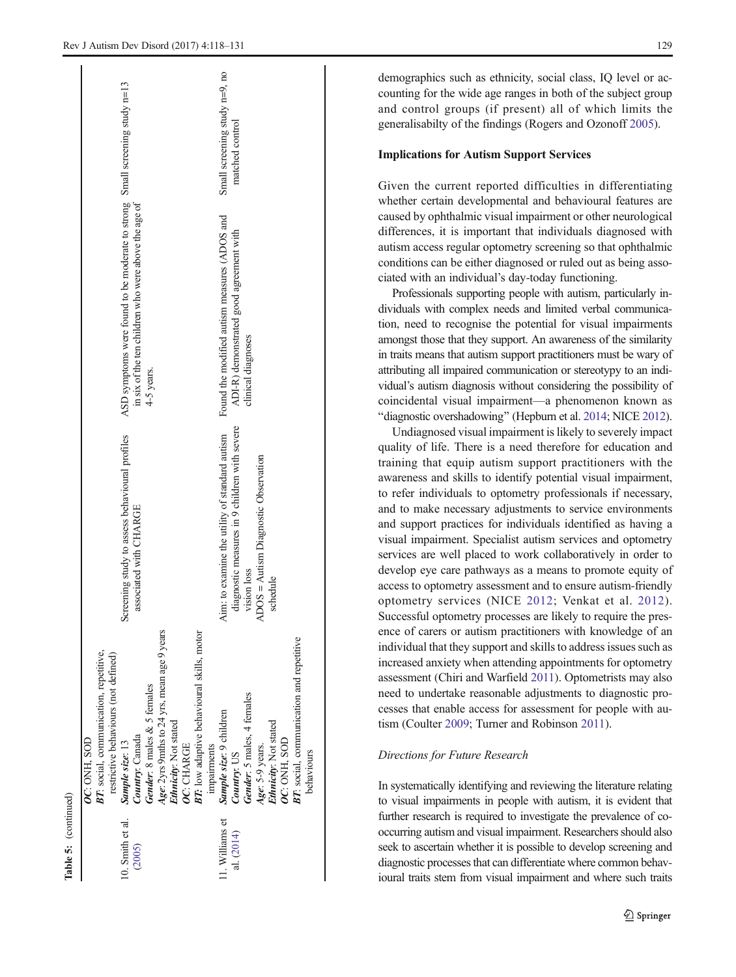|                 | OC: ONH, SOD                                    |                                                |                                                                             |                               |
|-----------------|-------------------------------------------------|------------------------------------------------|-----------------------------------------------------------------------------|-------------------------------|
|                 | BT: social, communication, repetitive,          |                                                |                                                                             |                               |
|                 | restrictive behaviours (not defined)            |                                                |                                                                             |                               |
| 0. Smith et al. | Sample size: 13                                 | Screening study to assess behavioural profiles | ASD symptoms were found to be moderate to strong Small screening study n=13 |                               |
| (2005)          | Country: Canada                                 | associated with CHARGE                         | in six of the ten children who were above the age of                        |                               |
|                 | Gender: 8 males & 5 females                     |                                                | 4-5 years.                                                                  |                               |
|                 | Age: 2yrs 9mths to 24 yrs, mean age 9 years     |                                                |                                                                             |                               |
|                 | Ethnicity: Not stated                           |                                                |                                                                             |                               |
|                 | OC: CHARGE                                      |                                                |                                                                             |                               |
|                 | BT: low adaptive behavioural skills, motor      |                                                |                                                                             |                               |
|                 | impairments                                     |                                                |                                                                             |                               |
| 1. Williams et  | Sample size: 9 children                         | Aim: to examine the utility of standard autism | Found the modified autism measures (ADOS and                                | Small screening study n=9, no |
| al. (2014)      | Country: US                                     | diagnostic measures in 9 children with severe  | ADI-R) demonstrated good agreement with                                     | matched control               |
|                 | Gender: 5 males, 4 females                      | vision loss                                    | clinical diagnoses                                                          |                               |
|                 | Age: 5-9 years.                                 | ADOS = Autism Diagnostic Observation           |                                                                             |                               |
|                 | Ethnicity: Not stated                           | schedule                                       |                                                                             |                               |
|                 | OC: ONH, SOD                                    |                                                |                                                                             |                               |
|                 | <b>BT:</b> social, communication and repetitive |                                                |                                                                             |                               |
|                 | behaviours                                      |                                                |                                                                             |                               |
|                 |                                                 |                                                |                                                                             |                               |

Table 5: (continued)

(continued)

demographics such as ethnicity, social class, IQ level or accounting for the wide age ranges in both of the subject group and control groups (if present) all of which limits the generalisabilty of the findings (Rogers and Ozonoff [2005](#page-13-0)).

## Implications for Autism Support Services

Given the current reported difficulties in differentiating whether certain developmental and behavioural features are caused by ophthalmic visual impairment or other neurological differences, it is important that individuals diagnosed with autism access regular optometry screening so that ophthalmic conditions can be either diagnosed or ruled out as being associated with an individual's day-today functioning.

Professionals supporting people with autism, particularly individuals with complex needs and limited verbal communication, need to recognise the potential for visual impairments amongst those that they support. An awareness of the similarity in traits means that autism support practitioners must be wary of attributing all impaired communication or stereotypy to an individual's autism diagnosis without considering the possibility of coincidental visual impairment—a phenomenon known as "diagnostic overshadowing" (Hepburn et al. [2014](#page-12-0); NICE [2012\)](#page-13-0).

Undiagnosed visual impairment is likely to severely impact quality of life. There is a need therefore for education and training that equip autism support practitioners with the awareness and skills to identify potential visual impairment, to refer individuals to optometry professionals if necessary, and to make necessary adjustments to service environments and support practices for individuals identified as having a visual impairment. Specialist autism services and optometry services are well placed to work collaboratively in order to develop eye care pathways as a means to promote equity of access to optometry assessment and to ensure autism-friendly optometry services (NICE [2012](#page-13-0); Venkat et al. [2012](#page-13-0)). Successful optometry processes are likely to require the presence of carers or autism practitioners with knowledge of an individual that they support and skills to address issues such as increased anxiety when attending appointments for optometry assessment (Chiri and Warfield [2011\)](#page-12-0). Optometrists may also need to undertake reasonable adjustments to diagnostic processes that enable access for assessment for people with autism (Coulter [2009;](#page-12-0) Turner and Robinson [2011\)](#page-13-0).

## Directions for Future Research

In systematically identifying and reviewing the literature relating to visual impairments in people with autism, it is evident that further research is required to investigate the prevalence of cooccurring autism and visual impairment. Researchers should also seek to ascertain whether it is possible to develop screening and diagnostic processes that can differentiate where common behavioural traits stem from visual impairment and where such traits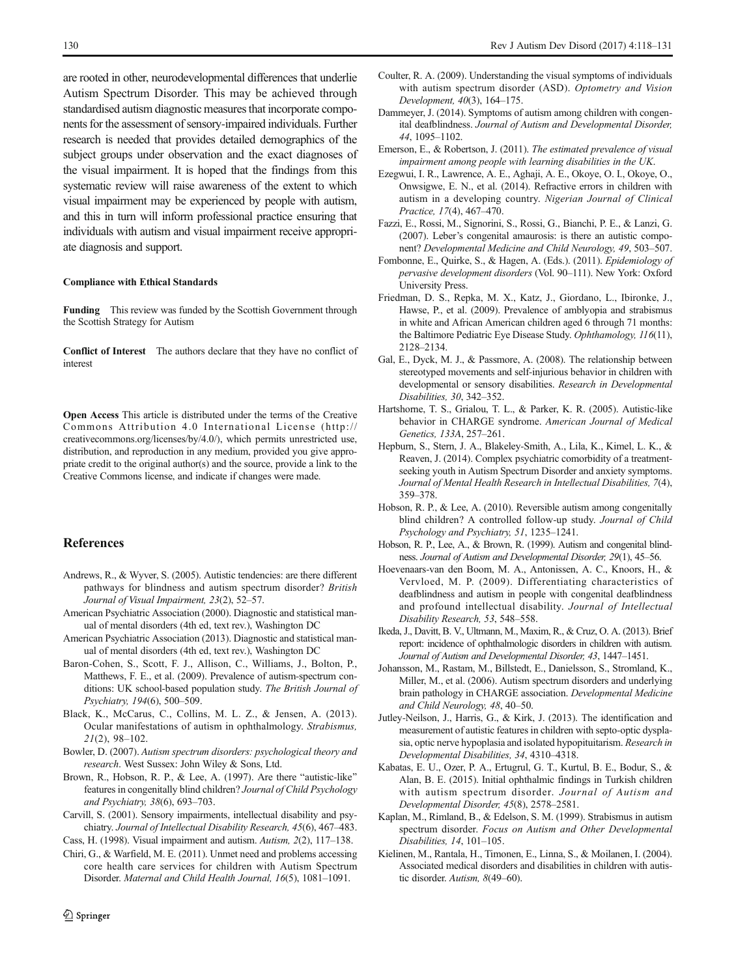<span id="page-12-0"></span>are rooted in other, neurodevelopmental differences that underlie Autism Spectrum Disorder. This may be achieved through standardised autism diagnostic measures that incorporate components for the assessment of sensory-impaired individuals. Further research is needed that provides detailed demographics of the subject groups under observation and the exact diagnoses of the visual impairment. It is hoped that the findings from this systematic review will raise awareness of the extent to which visual impairment may be experienced by people with autism, and this in turn will inform professional practice ensuring that individuals with autism and visual impairment receive appropriate diagnosis and support.

#### Compliance with Ethical Standards

Funding This review was funded by the Scottish Government through the Scottish Strategy for Autism

Conflict of Interest The authors declare that they have no conflict of interest

Open Access This article is distributed under the terms of the Creative Commons Attribution 4.0 International License (http:// creativecommons.org/licenses/by/4.0/), which permits unrestricted use, distribution, and reproduction in any medium, provided you give appropriate credit to the original author(s) and the source, provide a link to the Creative Commons license, and indicate if changes were made.

#### References

- Andrews, R., & Wyver, S. (2005). Autistic tendencies: are there different pathways for blindness and autism spectrum disorder? British Journal of Visual Impairment, 23(2), 52–57.
- American Psychiatric Association (2000). Diagnostic and statistical manual of mental disorders (4th ed, text rev.), Washington DC
- American Psychiatric Association (2013). Diagnostic and statistical manual of mental disorders (4th ed, text rev.), Washington DC
- Baron-Cohen, S., Scott, F. J., Allison, C., Williams, J., Bolton, P., Matthews, F. E., et al. (2009). Prevalence of autism-spectrum conditions: UK school-based population study. The British Journal of Psychiatry, 194(6), 500–509.
- Black, K., McCarus, C., Collins, M. L. Z., & Jensen, A. (2013). Ocular manifestations of autism in ophthalmology. Strabismus, 21(2), 98–102.
- Bowler, D. (2007). Autism spectrum disorders: psychological theory and research. West Sussex: John Wiley & Sons, Ltd.
- Brown, R., Hobson, R. P., & Lee, A. (1997). Are there "autistic-like" features in congenitally blind children? Journal of Child Psychology and Psychiatry, 38(6), 693–703.
- Carvill, S. (2001). Sensory impairments, intellectual disability and psychiatry. Journal of Intellectual Disability Research, 45(6), 467–483.

Cass, H. (1998). Visual impairment and autism. Autism, 2(2), 117–138.

Chiri, G., & Warfield, M. E. (2011). Unmet need and problems accessing core health care services for children with Autism Spectrum Disorder. Maternal and Child Health Journal, 16(5), 1081–1091.

- Coulter, R. A. (2009). Understanding the visual symptoms of individuals with autism spectrum disorder (ASD). Optometry and Vision Development, 40(3), 164–175.
- Dammeyer, J. (2014). Symptoms of autism among children with congenital deafblindness. Journal of Autism and Developmental Disorder, 44, 1095–1102.
- Emerson, E., & Robertson, J. (2011). The estimated prevalence of visual impairment among people with learning disabilities in the UK.
- Ezegwui, I. R., Lawrence, A. E., Aghaji, A. E., Okoye, O. I., Okoye, O., Onwsigwe, E. N., et al. (2014). Refractive errors in children with autism in a developing country. Nigerian Journal of Clinical Practice, 17(4), 467–470.
- Fazzi, E., Rossi, M., Signorini, S., Rossi, G., Bianchi, P. E., & Lanzi, G. (2007). Leber's congenital amaurosis: is there an autistic component? Developmental Medicine and Child Neurology, 49, 503–507.
- Fombonne, E., Quirke, S., & Hagen, A. (Eds.). (2011). Epidemiology of pervasive development disorders (Vol. 90–111). New York: Oxford University Press.
- Friedman, D. S., Repka, M. X., Katz, J., Giordano, L., Ibironke, J., Hawse, P., et al. (2009). Prevalence of amblyopia and strabismus in white and African American children aged 6 through 71 months: the Baltimore Pediatric Eye Disease Study. Ophthamology, 116(11), 2128–2134.
- Gal, E., Dyck, M. J., & Passmore, A. (2008). The relationship between stereotyped movements and self-injurious behavior in children with developmental or sensory disabilities. Research in Developmental Disabilities, 30, 342–352.
- Hartshorne, T. S., Grialou, T. L., & Parker, K. R. (2005). Autistic-like behavior in CHARGE syndrome. American Journal of Medical Genetics, 133A, 257–261.
- Hepburn, S., Stern, J. A., Blakeley-Smith, A., Lila, K., Kimel, L. K., & Reaven, J. (2014). Complex psychiatric comorbidity of a treatmentseeking youth in Autism Spectrum Disorder and anxiety symptoms. Journal of Mental Health Research in Intellectual Disabilities, 7(4), 359–378.
- Hobson, R. P., & Lee, A. (2010). Reversible autism among congenitally blind children? A controlled follow-up study. Journal of Child Psychology and Psychiatry, 51, 1235–1241.
- Hobson, R. P., Lee, A., & Brown, R. (1999). Autism and congenital blindness. Journal of Autism and Developmental Disorder, 29(1), 45–56.
- Hoevenaars-van den Boom, M. A., Antonissen, A. C., Knoors, H., & Vervloed, M. P. (2009). Differentiating characteristics of deafblindness and autism in people with congenital deafblindness and profound intellectual disability. Journal of Intellectual Disability Research, 53, 548–558.
- Ikeda, J., Davitt, B. V., Ultmann, M., Maxim, R., & Cruz, O. A. (2013). Brief report: incidence of ophthalmologic disorders in children with autism. Journal of Autism and Developmental Disorder, 43, 1447–1451.
- Johansson, M., Rastam, M., Billstedt, E., Danielsson, S., Stromland, K., Miller, M., et al. (2006). Autism spectrum disorders and underlying brain pathology in CHARGE association. Developmental Medicine and Child Neurology, 48, 40–50.
- Jutley-Neilson, J., Harris, G., & Kirk, J. (2013). The identification and measurement of autistic features in children with septo-optic dysplasia, optic nerve hypoplasia and isolated hypopituitarism. Research in Developmental Disabilities, 34, 4310–4318.
- Kabatas, E. U., Ozer, P. A., Ertugrul, G. T., Kurtul, B. E., Bodur, S., & Alan, B. E. (2015). Initial ophthalmic findings in Turkish children with autism spectrum disorder. Journal of Autism and Developmental Disorder, 45(8), 2578–2581.
- Kaplan, M., Rimland, B., & Edelson, S. M. (1999). Strabismus in autism spectrum disorder. Focus on Autism and Other Developmental Disabilities, 14, 101–105.
- Kielinen, M., Rantala, H., Timonen, E., Linna, S., & Moilanen, I. (2004). Associated medical disorders and disabilities in children with autistic disorder. Autism, 8(49–60).